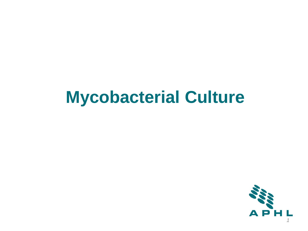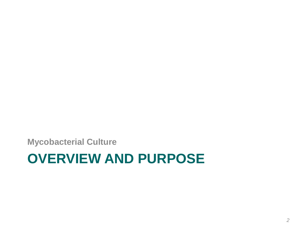#### **OVERVIEW AND PURPOSE**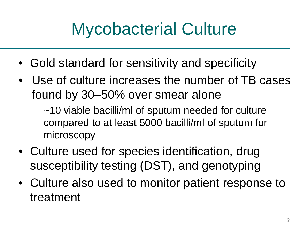- Gold standard for sensitivity and specificity
- Use of culture increases the number of TB cases found by 30–50% over smear alone
	- $-$  ~10 viable bacilli/ml of sputum needed for culture compared to at least 5000 bacilli/ml of sputum for microscopy
- Culture used for species identification, drug susceptibility testing (DST), and genotyping
- Culture also used to monitor patient response to treatment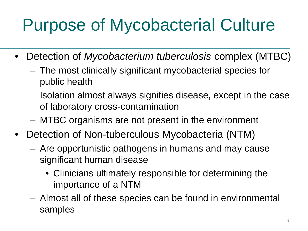#### Purpose of Mycobacterial Culture

- Detection of *Mycobacterium tuberculosis* complex (MTBC)
	- The most clinically significant mycobacterial species for public health
	- Isolation almost always signifies disease, except in the case of laboratory cross-contamination
	- MTBC organisms are not present in the environment
- Detection of Non-tuberculous Mycobacteria (NTM)
	- Are opportunistic pathogens in humans and may cause significant human disease
		- Clinicians ultimately responsible for determining the importance of a NTM
	- Almost all of these species can be found in environmental samples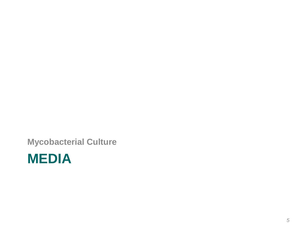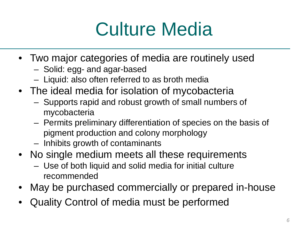## Culture Media

- Two major categories of media are routinely used
	- Solid: egg- and agar-based
	- Liquid: also often referred to as broth media
- The ideal media for isolation of mycobacteria
	- Supports rapid and robust growth of small numbers of mycobacteria
	- Permits preliminary differentiation of species on the basis of pigment production and colony morphology
	- Inhibits growth of contaminants
- No single medium meets all these requirements
	- Use of both liquid and solid media for initial culture recommended
- May be purchased commercially or prepared in-house
- Quality Control of media must be performed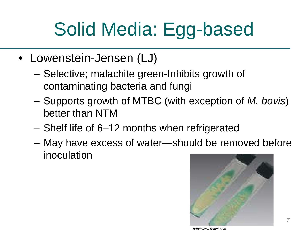# Solid Media: Egg-based

- Lowenstein-Jensen (LJ)
	- Selective; malachite green-Inhibits growth of contaminating bacteria and fungi
	- Supports growth of MTBC (with exception of *M. bovis*) better than NTM
	- Shelf life of 6–12 months when refrigerated
	- May have excess of water—should be removed before inoculation



*http://www.remel.com*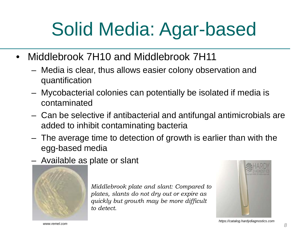## Solid Media: Agar-based

- Middlebrook 7H10 and Middlebrook 7H11
	- Media is clear, thus allows easier colony observation and quantification
	- Mycobacterial colonies can potentially be isolated if media is contaminated
	- Can be selective if antibacterial and antifungal antimicrobials are added to inhibit contaminating bacteria
	- The average time to detection of growth is earlier than with the egg-based media
	- Available as plate or slant



*Middlebrook plate and slant: Compared to plates, slants do not dry out or expire as quickly but growth may be more difficult to detect.*



*www.remel.com https://catalog.hardydiagnostics.com*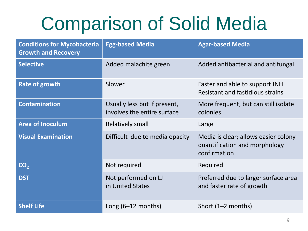## Comparison of Solid Media

| <b>Conditions for Mycobacteria</b><br><b>Growth and Recovery</b> | <b>Egg-based Media</b>                                      | <b>Agar-based Media</b>                                                               |  |
|------------------------------------------------------------------|-------------------------------------------------------------|---------------------------------------------------------------------------------------|--|
| <b>Selective</b>                                                 | Added malachite green                                       | Added antibacterial and antifungal                                                    |  |
| <b>Rate of growth</b>                                            | Slower                                                      | Faster and able to support INH<br>Resistant and fastidious strains                    |  |
| <b>Contamination</b>                                             | Usually less but if present,<br>involves the entire surface | More frequent, but can still isolate<br>colonies                                      |  |
| <b>Area of Inoculum</b>                                          | <b>Relatively small</b>                                     | Large                                                                                 |  |
| <b>Visual Examination</b>                                        | Difficult due to media opacity                              | Media is clear; allows easier colony<br>quantification and morphology<br>confirmation |  |
| CO <sub>2</sub>                                                  | Not required                                                | Required                                                                              |  |
| <b>DST</b>                                                       | Not performed on LJ<br>in United States                     | Preferred due to larger surface area<br>and faster rate of growth                     |  |
| <b>Shelf Life</b>                                                | Long $(6-12$ months)                                        | Short $(1-2$ months)                                                                  |  |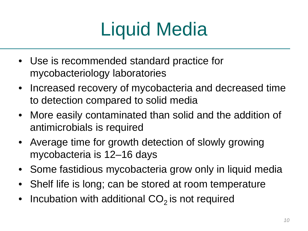# Liquid Media

- Use is recommended standard practice for mycobacteriology laboratories
- Increased recovery of mycobacteria and decreased time to detection compared to solid media
- More easily contaminated than solid and the addition of antimicrobials is required
- Average time for growth detection of slowly growing mycobacteria is 12–16 days
- Some fastidious mycobacteria grow only in liquid media
- Shelf life is long; can be stored at room temperature
- Incubation with additional  $CO<sub>2</sub>$  is not required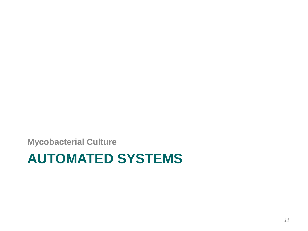#### **AUTOMATED SYSTEMS**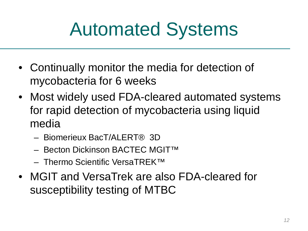## Automated Systems

- Continually monitor the media for detection of mycobacteria for 6 weeks
- Most widely used FDA-cleared automated systems for rapid detection of mycobacteria using liquid media
	- Biomerieux BacT/ALERT® 3D
	- Becton Dickinson BACTEC MGIT™
	- Thermo Scientific VersaTREK™
- MGIT and VersaTrek are also FDA-cleared for susceptibility testing of MTBC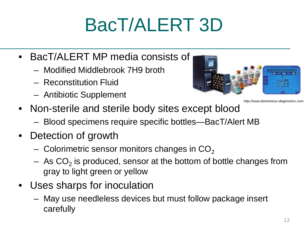# BacT/ALERT 3D

- BacT/ALERT MP media consists of
	- Modified Middlebrook 7H9 broth
	- Reconstitution Fluid
	- Antibiotic Supplement



*http://www.biomerieux-diagnostics.com*

- Non-sterile and sterile body sites except blood
	- Blood specimens require specific bottles—BacT/Alert MB
- Detection of growth
	- Colorimetric sensor monitors changes in  $CO<sub>2</sub>$
	- $-$  As CO<sub>2</sub> is produced, sensor at the bottom of bottle changes from gray to light green or yellow
- Uses sharps for inoculation
	- May use needleless devices but must follow package insert carefully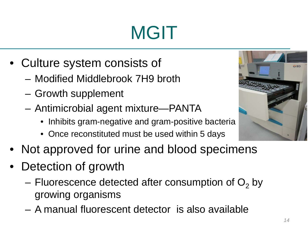# MGIT

- Culture system consists of
	- Modified Middlebrook 7H9 broth
	- Growth supplement
	- Antimicrobial agent mixture—PANTA
		- Inhibits gram-negative and gram-positive bacteria
		- Once reconstituted must be used within 5 days
- Not approved for urine and blood specimens
- Detection of growth
	- Fluorescence detected after consumption of  $O<sub>2</sub>$  by growing organisms
	- A manual fluorescent detector is also available

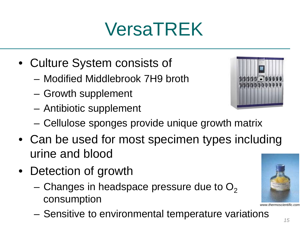## VersaTREK

- Culture System consists of
	- Modified Middlebrook 7H9 broth
	- Growth supplement
	- Antibiotic supplement



- Cellulose sponges provide unique growth matrix
- Can be used for most specimen types including urine and blood
- Detection of growth
	- Changes in headspace pressure due to  $O<sub>2</sub>$ consumption
	- Sensitive to environmental temperature variations

*15*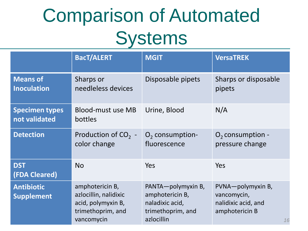## Comparison of Automated **Systems**

|                                        | <b>BacT/ALERT</b>                                                                                 | <b>MGIT</b>                                                                                 | <b>VersaTREK</b>                                                                |
|----------------------------------------|---------------------------------------------------------------------------------------------------|---------------------------------------------------------------------------------------------|---------------------------------------------------------------------------------|
| <b>Means of</b><br><b>Inoculation</b>  | Sharps or<br>needleless devices                                                                   | Disposable pipets                                                                           | Sharps or disposable<br>pipets                                                  |
| <b>Specimen types</b><br>not validated | Blood-must use MB<br>bottles                                                                      | Urine, Blood                                                                                | N/A                                                                             |
| <b>Detection</b>                       | Production of CO <sub>2</sub> -<br>color change                                                   | $O2$ consumption-<br>fluorescence                                                           | $O2$ consumption -<br>pressure change                                           |
| <b>DST</b><br>(FDA Cleared)            | <b>No</b>                                                                                         | Yes                                                                                         | Yes                                                                             |
| <b>Antibiotic</b><br><b>Supplement</b> | amphotericin B,<br>azlocillin, nalidixic<br>acid, polymyxin B,<br>trimethoprim, and<br>vancomycin | PANTA-polymyxin B,<br>amphotericin B,<br>naladixic acid,<br>trimethoprim, and<br>azlocillin | PVNA-polymyxin B,<br>vancomycin,<br>nalidixic acid, and<br>amphotericin B<br>16 |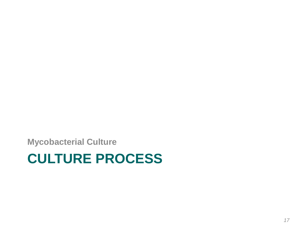#### **CULTURE PROCESS**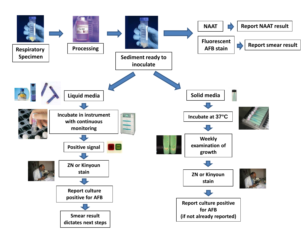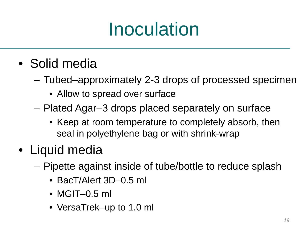## Inoculation

- Solid media
	- Tubed–approximately 2-3 drops of processed specimen
		- Allow to spread over surface
	- Plated Agar–3 drops placed separately on surface
		- Keep at room temperature to completely absorb, then seal in polyethylene bag or with shrink-wrap
- Liquid media
	- Pipette against inside of tube/bottle to reduce splash
		- BacT/Alert 3D–0.5 ml
		- MGIT–0.5 ml
		- VersaTrek–up to 1.0 ml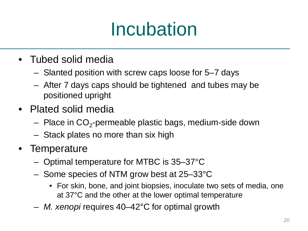## Incubation

- Tubed solid media
	- Slanted position with screw caps loose for 5–7 days
	- After 7 days caps should be tightened and tubes may be positioned upright
- Plated solid media
	- $-$  Place in CO<sub>2</sub>-permeable plastic bags, medium-side down
	- Stack plates no more than six high
- Temperature
	- Optimal temperature for MTBC is 35–37°C
	- Some species of NTM grow best at 25–33°C
		- For skin, bone, and joint biopsies, inoculate two sets of media, one at 37°C and the other at the lower optimal temperature
	- *M. xenopi* requires 40–42°C for optimal growth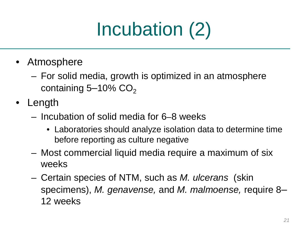# Incubation (2)

- Atmosphere
	- For solid media, growth is optimized in an atmosphere containing  $5-10\%$  CO<sub>2</sub>
- Length
	- Incubation of solid media for 6–8 weeks
		- Laboratories should analyze isolation data to determine time before reporting as culture negative
	- Most commercial liquid media require a maximum of six weeks
	- Certain species of NTM, such as *M. ulcerans* (skin specimens), *M. genavense,* and *M. malmoense,* require 8– 12 weeks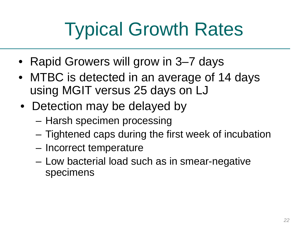# Typical Growth Rates

- Rapid Growers will grow in 3–7 days
- MTBC is detected in an average of 14 days using MGIT versus 25 days on LJ
- Detection may be delayed by
	- Harsh specimen processing
	- Tightened caps during the first week of incubation
	- Incorrect temperature
	- Low bacterial load such as in smear-negative specimens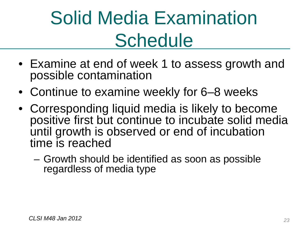## Solid Media Examination **Schedule**

- Examine at end of week 1 to assess growth and possible contamination
- Continue to examine weekly for 6–8 weeks
- Corresponding liquid media is likely to become positive first but continue to incubate solid media until growth is observed or end of incubation time is reached
	- Growth should be identified as soon as possible regardless of media type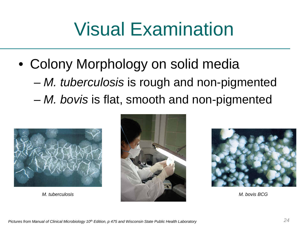### Visual Examination

- Colony Morphology on solid media
	- *M. tuberculosis* is rough and non-pigmented
	- *M. bovis* is flat, smooth and non-pigmented





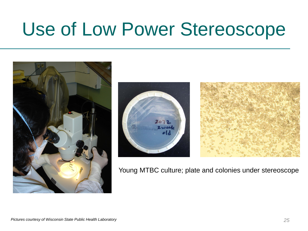#### Use of Low Power Stereoscope







Young MTBC culture; plate and colonies under stereoscope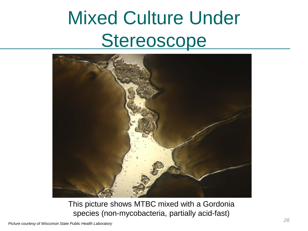### Mixed Culture Under **Stereoscope**



This picture shows MTBC mixed with a Gordonia species (non-mycobacteria, partially acid-fast)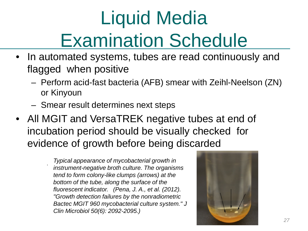# Liquid Media Examination Schedule

- In automated systems, tubes are read continuously and flagged when positive
	- Perform acid-fast bacteria (AFB) smear with Zeihl-Neelson (ZN) or Kinyoun
	- Smear result determines next steps
- All MGIT and VersaTREK negative tubes at end of incubation period should be visually checked for evidence of growth before being discarded

. *Typical appearance of mycobacterial growth in instrument-negative broth culture. The organisms tend to form colony-like clumps (arrows) at the bottom of the tube, along the surface of the fluorescent indicator. (Pena, J. A., et al. (2012). "Growth detection failures by the nonradiometric Bactec MGIT 960 mycobacterial culture system." J Clin Microbiol 50(6): 2092-2095.)*

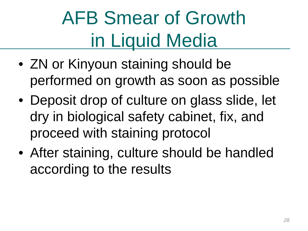# AFB Smear of Growth in Liquid Media

- ZN or Kinyoun staining should be performed on growth as soon as possible
- Deposit drop of culture on glass slide, let dry in biological safety cabinet, fix, and proceed with staining protocol
- After staining, culture should be handled according to the results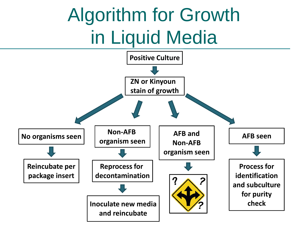## Algorithm for Growth in Liquid Media

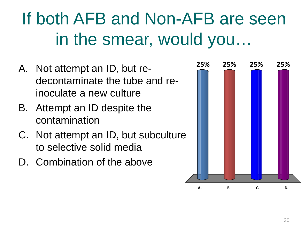#### If both AFB and Non-AFB are seen in the smear, would you…

- **25% 25% 25% 25%** A. Not attempt an ID, but redecontaminate the tube and reinoculate a new culture
- B. Attempt an ID despite the contamination
- C. Not attempt an ID, but subculture to selective solid media
- D. Combination of the above

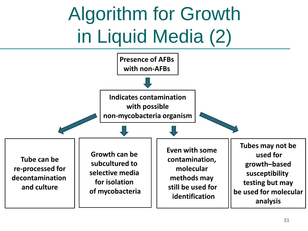## Algorithm for Growth in Liquid Media (2)

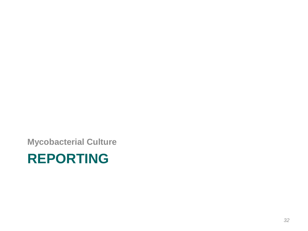#### **REPORTING**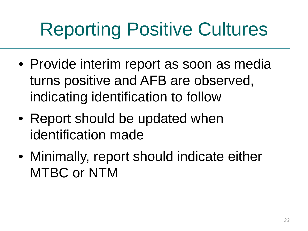# Reporting Positive Cultures

- Provide interim report as soon as media turns positive and AFB are observed, indicating identification to follow
- Report should be updated when identification made
- Minimally, report should indicate either MTBC or NTM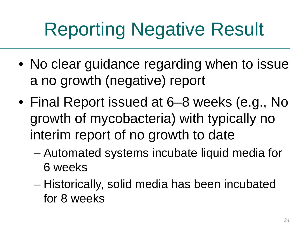# Reporting Negative Result

- No clear guidance regarding when to issue a no growth (negative) report
- Final Report issued at 6–8 weeks (e.g., No growth of mycobacteria) with typically no interim report of no growth to date
	- Automated systems incubate liquid media for 6 weeks
	- Historically, solid media has been incubated for 8 weeks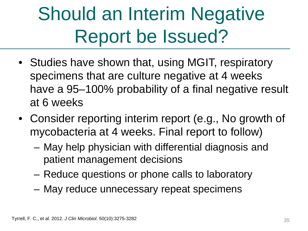## Should an Interim Negative Report be Issued?

- Studies have shown that, using MGIT, respiratory specimens that are culture negative at 4 weeks have a 95–100% probability of a final negative result at 6 weeks
- Consider reporting interim report (e.g., No growth of mycobacteria at 4 weeks. Final report to follow)
	- May help physician with differential diagnosis and patient management decisions
	- Reduce questions or phone calls to laboratory
	- May reduce unnecessary repeat specimens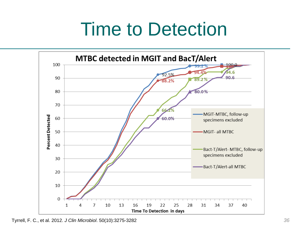#### Time to Detection



Tyrrell, F. C., et al. 2012. *J Clin Microbiol*. 50(10):3275-3282 *36*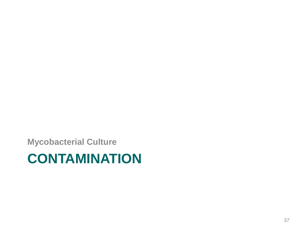**Mycobacterial Culture**

#### **CONTAMINATION**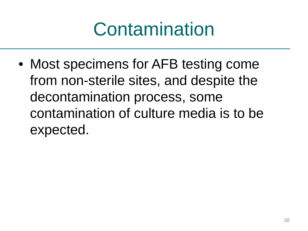#### Contamination

• Most specimens for AFB testing come from non-sterile sites, and despite the decontamination process, some contamination of culture media is to be expected.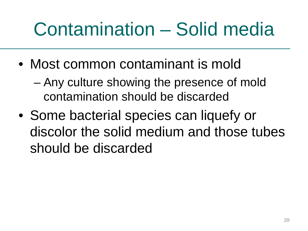#### Contamination – Solid media

- Most common contaminant is mold
	- Any culture showing the presence of mold contamination should be discarded
- Some bacterial species can liquefy or discolor the solid medium and those tubes should be discarded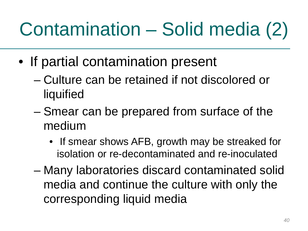## Contamination – Solid media (2)

- If partial contamination present
	- Culture can be retained if not discolored or liquified
	- Smear can be prepared from surface of the medium
		- If smear shows AFB, growth may be streaked for isolation or re-decontaminated and re-inoculated
	- Many laboratories discard contaminated solid media and continue the culture with only the corresponding liquid media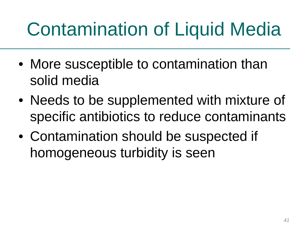### Contamination of Liquid Media

- More susceptible to contamination than solid media
- Needs to be supplemented with mixture of specific antibiotics to reduce contaminants
- Contamination should be suspected if homogeneous turbidity is seen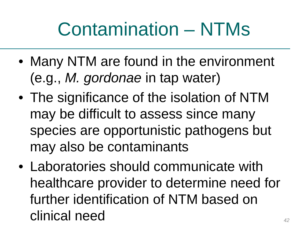## Contamination – NTMs

- Many NTM are found in the environment (e.g., *M. gordonae* in tap water)
- The significance of the isolation of NTM may be difficult to assess since many species are opportunistic pathogens but may also be contaminants
- Laboratories should communicate with healthcare provider to determine need for further identification of NTM based on clinical need *<sup>42</sup>*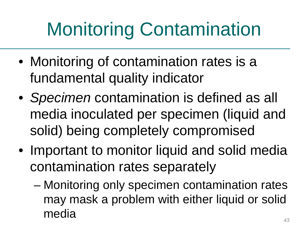## Monitoring Contamination

- Monitoring of contamination rates is a fundamental quality indicator
- *Specimen* contamination is defined as all media inoculated per specimen (liquid and solid) being completely compromised
- Important to monitor liquid and solid media contamination rates separately
	- Monitoring only specimen contamination rates may mask a problem with either liquid or solid media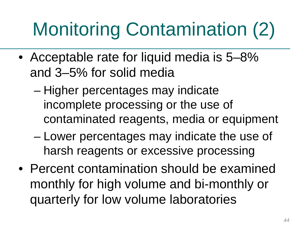## Monitoring Contamination (2)

- Acceptable rate for liquid media is 5–8% and 3–5% for solid media
	- Higher percentages may indicate incomplete processing or the use of contaminated reagents, media or equipment
	- Lower percentages may indicate the use of harsh reagents or excessive processing
- Percent contamination should be examined monthly for high volume and bi-monthly or quarterly for low volume laboratories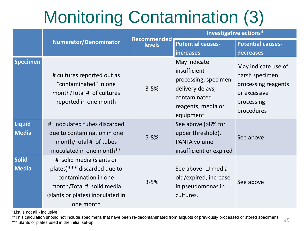#### Monitoring Contamination (3)

|                               | <b>Numerator/Denominator</b>                                                                                                                                  | <b>Recommended</b><br>levels | Investigative actions*                                                                                                                          |                                                                                                          |
|-------------------------------|---------------------------------------------------------------------------------------------------------------------------------------------------------------|------------------------------|-------------------------------------------------------------------------------------------------------------------------------------------------|----------------------------------------------------------------------------------------------------------|
|                               |                                                                                                                                                               |                              | <b>Potential causes-</b>                                                                                                                        | <b>Potential causes-</b><br>decreases                                                                    |
| <b>Specimen</b>               | # cultures reported out as<br>"contaminated" in one<br>month/Total # of cultures<br>reported in one month                                                     | $3 - 5%$                     | <b>increases</b><br>May indicate<br>insufficient<br>processing, specimen<br>delivery delays,<br>contaminated<br>reagents, media or<br>equipment | May indicate use of<br>harsh specimen<br>processing reagents<br>or excessive<br>processing<br>procedures |
| <b>Liquid</b><br><b>Media</b> | # inoculated tubes discarded<br>due to contamination in one<br>month/Total # of tubes<br>inoculated in one month**                                            | $5 - 8%$                     | See above (>8% for<br>upper threshold),<br>PANTA volume<br>insufficient or expired                                                              | See above                                                                                                |
| <b>Solid</b><br><b>Media</b>  | # solid media (slants or<br>plates)*** discarded due to<br>contamination in one<br>month/Total # solid media<br>(slants or plates) inoculated in<br>one month | $3 - 5%$                     | See above. LJ media<br>old/expired, increase<br>in pseudomonas in<br>cultures.                                                                  | See above                                                                                                |

\*List is not all - inclusive

\*\*This calculation should not include specimens that have been re-decontaminated from aliquots of previously processed or stored specimens

\*\*\* Slants or plates used in the initial set-up.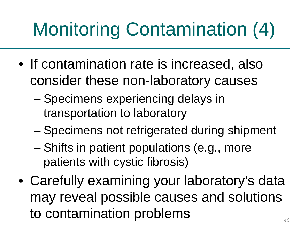# Monitoring Contamination (4)

- If contamination rate is increased, also consider these non-laboratory causes
	- Specimens experiencing delays in transportation to laboratory
	- Specimens not refrigerated during shipment
	- Shifts in patient populations (e.g., more patients with cystic fibrosis)
- Carefully examining your laboratory's data may reveal possible causes and solutions to contamination problems *46*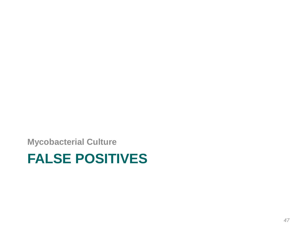**Mycobacterial Culture**

#### **FALSE POSITIVES**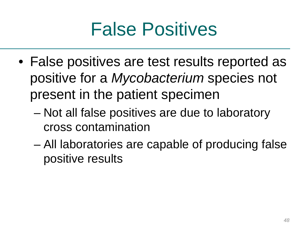

- False positives are test results reported as positive for a *Mycobacterium* species not present in the patient specimen
	- Not all false positives are due to laboratory cross contamination
	- All laboratories are capable of producing false positive results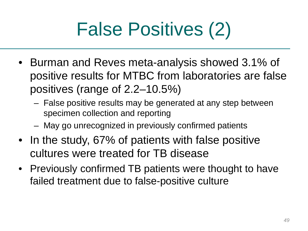## False Positives (2)

- Burman and Reves meta-analysis showed 3.1% of positive results for MTBC from laboratories are false positives (range of 2.2–10.5%)
	- False positive results may be generated at any step between specimen collection and reporting
	- May go unrecognized in previously confirmed patients
- In the study, 67% of patients with false positive cultures were treated for TB disease
- Previously confirmed TB patients were thought to have failed treatment due to false-positive culture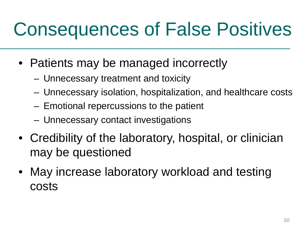### Consequences of False Positives

- Patients may be managed incorrectly
	- Unnecessary treatment and toxicity
	- Unnecessary isolation, hospitalization, and healthcare costs
	- Emotional repercussions to the patient
	- Unnecessary contact investigations
- Credibility of the laboratory, hospital, or clinician may be questioned
- May increase laboratory workload and testing costs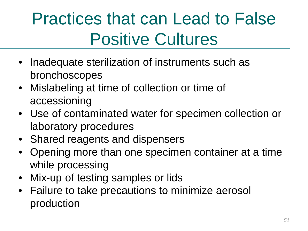#### Practices that can Lead to False Positive Cultures

- Inadequate sterilization of instruments such as bronchoscopes
- Mislabeling at time of collection or time of accessioning
- Use of contaminated water for specimen collection or laboratory procedures
- Shared reagents and dispensers
- Opening more than one specimen container at a time while processing
- Mix-up of testing samples or lids
- Failure to take precautions to minimize aerosol production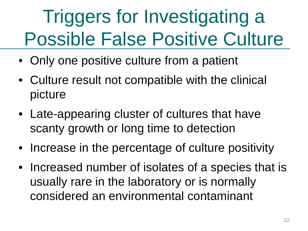## Triggers for Investigating a Possible False Positive Culture

- Only one positive culture from a patient
- Culture result not compatible with the clinical picture
- Late-appearing cluster of cultures that have scanty growth or long time to detection
- Increase in the percentage of culture positivity
- Increased number of isolates of a species that is usually rare in the laboratory or is normally considered an environmental contaminant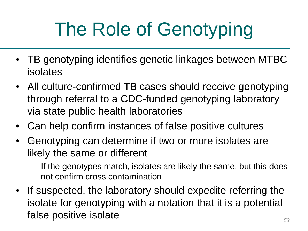## The Role of Genotyping

- TB genotyping identifies genetic linkages between MTBC isolates
- All culture-confirmed TB cases should receive genotyping through referral to a CDC-funded genotyping laboratory via state public health laboratories
- Can help confirm instances of false positive cultures
- Genotyping can determine if two or more isolates are likely the same or different
	- If the genotypes match, isolates are likely the same, but this does not confirm cross contamination
- If suspected, the laboratory should expedite referring the isolate for genotyping with a notation that it is a potential false positive isolate *<sup>53</sup>*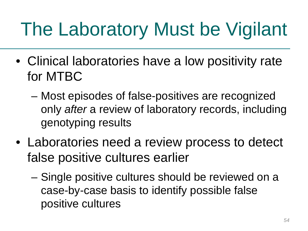## The Laboratory Must be Vigilant

- Clinical laboratories have a low positivity rate for MTBC
	- Most episodes of false-positives are recognized only *after* a review of laboratory records, including genotyping results
- Laboratories need a review process to detect false positive cultures earlier
	- Single positive cultures should be reviewed on a case-by-case basis to identify possible false positive cultures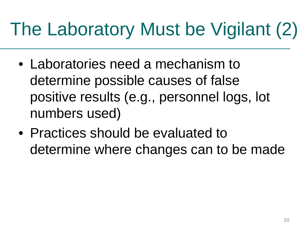### The Laboratory Must be Vigilant (2)

- Laboratories need a mechanism to determine possible causes of false positive results (e.g., personnel logs, lot numbers used)
- Practices should be evaluated to determine where changes can to be made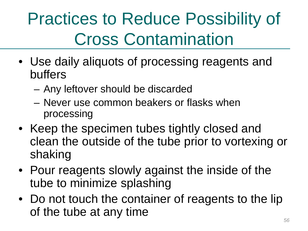#### Practices to Reduce Possibility of Cross Contamination

- Use daily aliquots of processing reagents and buffers
	- Any leftover should be discarded
	- Never use common beakers or flasks when processing
- Keep the specimen tubes tightly closed and clean the outside of the tube prior to vortexing or shaking
- Pour reagents slowly against the inside of the tube to minimize splashing
- Do not touch the container of reagents to the lip of the tube at any time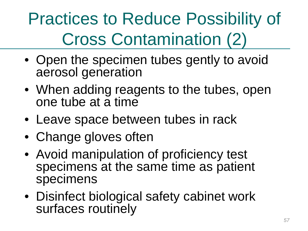Practices to Reduce Possibility of Cross Contamination (2)

- Open the specimen tubes gently to avoid aerosol generation
- When adding reagents to the tubes, open one tube at a time
- Leave space between tubes in rack
- Change gloves often
- Avoid manipulation of proficiency test specimens at the same time as patient specimens
- Disinfect biological safety cabinet work surfaces routinely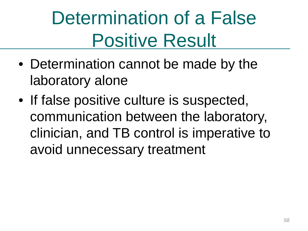## Determination of a False Positive Result

- Determination cannot be made by the laboratory alone
- If false positive culture is suspected, communication between the laboratory, clinician, and TB control is imperative to avoid unnecessary treatment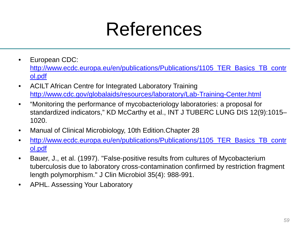#### References

- European CDC: [http://www.ecdc.europa.eu/en/publications/Publications/1105\\_TER\\_Basics\\_TB\\_contr](http://www.ecdc.europa.eu/en/publications/Publications/1105_TER_Basics_TB_control.pdf) [ol.pdf](http://www.ecdc.europa.eu/en/publications/Publications/1105_TER_Basics_TB_control.pdf)
- ACILT African Centre for Integrated Laboratory Training <http://www.cdc.gov/globalaids/resources/laboratory/Lab-Training-Center.html>
- "Monitoring the performance of mycobacteriology laboratories: a proposal for standardized indicators," KD McCarthy et al., INT J TUBERC LUNG DIS 12(9):1015– 1020.
- Manual of Clinical Microbiology, 10th Edition.Chapter 28
- http://www.ecdc.europa.eu/en/publications/Publications/1105 TER Basics TB contr [ol.pdf](http://www.ecdc.europa.eu/en/publications/Publications/1105_TER_Basics_TB_control.pdf)
- Bauer, J., et al. (1997). "False-positive results from cultures of Mycobacterium tuberculosis due to laboratory cross-contamination confirmed by restriction fragment length polymorphism." J Clin Microbiol 35(4): 988-991.
- APHL. Assessing Your Laboratory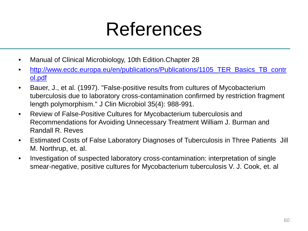#### References

- Manual of Clinical Microbiology, 10th Edition. Chapter 28
- [http://www.ecdc.europa.eu/en/publications/Publications/1105\\_TER\\_Basics\\_TB\\_contr](http://www.ecdc.europa.eu/en/publications/Publications/1105_TER_Basics_TB_control.pdf) [ol.pdf](http://www.ecdc.europa.eu/en/publications/Publications/1105_TER_Basics_TB_control.pdf)
- Bauer, J., et al. (1997). "False-positive results from cultures of Mycobacterium tuberculosis due to laboratory cross-contamination confirmed by restriction fragment length polymorphism." J Clin Microbiol 35(4): 988-991.
- Review of False-Positive Cultures for Mycobacterium tuberculosis and Recommendations for Avoiding Unnecessary Treatment William J. Burman and Randall R. Reves
- Estimated Costs of False Laboratory Diagnoses of Tuberculosis in Three Patients Jill M. Northrup, et. al.
- Investigation of suspected laboratory cross-contamination: interpretation of single smear-negative, positive cultures for Mycobacterium tuberculosis V. J. Cook, et. al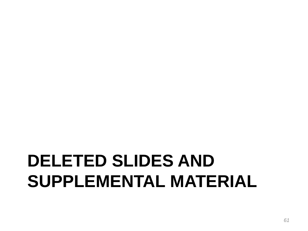#### **DELETED SLIDES AND SUPPLEMENTAL MATERIAL**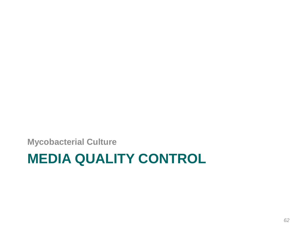**Mycobacterial Culture**

#### **MEDIA QUALITY CONTROL**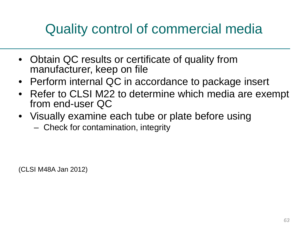#### Quality control of commercial media

- Obtain QC results or certificate of quality from manufacturer, keep on file
- Perform internal QC in accordance to package insert
- Refer to CLSI M22 to determine which media are exempt from end-user QC
- Visually examine each tube or plate before using
	- Check for contamination, integrity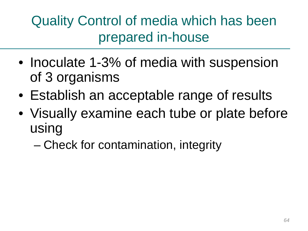Quality Control of media which has been prepared in-house

- Inoculate 1-3% of media with suspension of 3 organisms
- Establish an acceptable range of results
- Visually examine each tube or plate before using
	- Check for contamination, integrity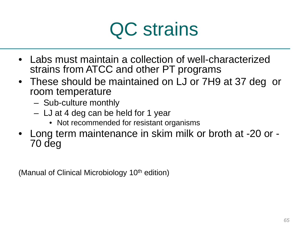

- Labs must maintain a collection of well-characterized strains from ATCC and other PT programs
- These should be maintained on LJ or 7H9 at 37 deg or room temperature
	- Sub-culture monthly
	- LJ at 4 deg can be held for 1 year
		- Not recommended for resistant organisms
- Long term maintenance in skim milk or broth at -20 or 70 deg

(Manual of Clinical Microbiology 10<sup>th</sup> edition)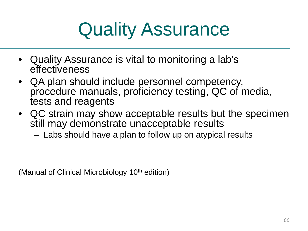### Quality Assurance

- Quality Assurance is vital to monitoring a lab's effectiveness
- QA plan should include personnel competency, procedure manuals, proficiency testing, QC of media, tests and reagents
- QC strain may show acceptable results but the specimen still may demonstrate unacceptable results
	- Labs should have a plan to follow up on atypical results

(Manual of Clinical Microbiology 10<sup>th</sup> edition)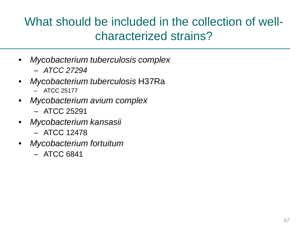#### What should be included in the collection of wellcharacterized strains?

- *Mycobacterium tuberculosis complex*  – *ATCC 27294*
- *Mycobacterium tuberculosis* H37Ra ATCC 25177
	-
- *Mycobacterium avium complex* 
	- ATCC 25291
- *Mycobacterium kansasii* 
	- ATCC 12478
- *Mycobacterium fortuitum* 
	- ATCC 6841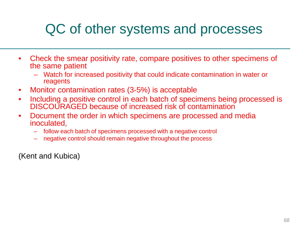#### QC of other systems and processes

- Check the smear positivity rate, compare positives to other specimens of the same patient
	- Watch for increased positivity that could indicate contamination in water or reagents
- Monitor contamination rates (3-5%) is acceptable
- Including a positive control in each batch of specimens being processed is DISCOURAGED because of increased risk of contamination
- Document the order in which specimens are processed and media inoculated,
	- follow each batch of specimens processed with a negative control
	- negative control should remain negative throughout the process

(Kent and Kubica)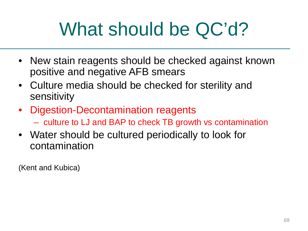## What should be QC'd?

- New stain reagents should be checked against known positive and negative AFB smears
- Culture media should be checked for sterility and sensitivity
- Digestion-Decontamination reagents
	- culture to LJ and BAP to check TB growth vs contamination
- Water should be cultured periodically to look for contamination

(Kent and Kubica)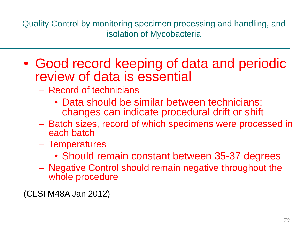Quality Control by monitoring specimen processing and handling, and isolation of Mycobacteria

- Good record keeping of data and periodic review of data is essential
	- Record of technicians
		- Data should be similar between technicians; changes can indicate procedural drift or shift
	- Batch sizes, record of which specimens were processed in each batch
	- Temperatures
		- Should remain constant between 35-37 degrees
	- Negative Control should remain negative throughout the whole procedure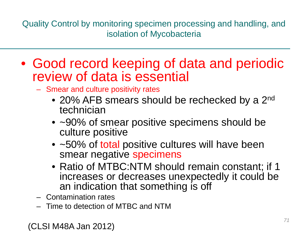Quality Control by monitoring specimen processing and handling, and isolation of Mycobacteria

- Good record keeping of data and periodic review of data is essential
	- Smear and culture positivity rates
		- 20% AFB smears should be rechecked by a 2<sup>nd</sup> technician
		- ~90% of smear positive specimens should be culture positive
		- ~50% of total positive cultures will have been smear negative specimens
		- Ratio of MTBC:NTM should remain constant; if 1 increases or decreases unexpectedly it could be an indication that something is off
	- Contamination rates
	- Time to detection of MTBC and NTM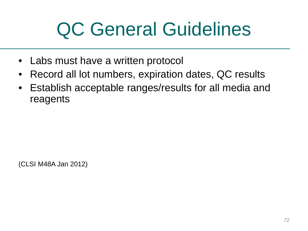### QC General Guidelines

- Labs must have a written protocol
- Record all lot numbers, expiration dates, QC results
- Establish acceptable ranges/results for all media and reagents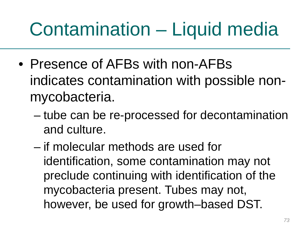- Presence of AFBs with non-AFBs indicates contamination with possible nonmycobacteria.
	- tube can be re-processed for decontamination and culture.
	- if molecular methods are used for identification, some contamination may not preclude continuing with identification of the mycobacteria present. Tubes may not, however, be used for growth–based DST.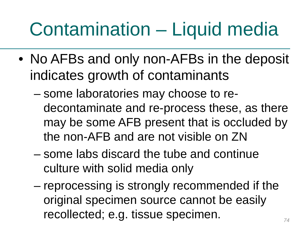- No AFBs and only non-AFBs in the deposit indicates growth of contaminants
	- some laboratories may choose to redecontaminate and re-process these, as there may be some AFB present that is occluded by the non-AFB and are not visible on ZN
	- some labs discard the tube and continue culture with solid media only
	- reprocessing is strongly recommended if the original specimen source cannot be easily recollected; e.g. tissue specimen. *74*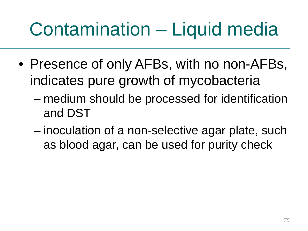- Presence of only AFBs, with no non-AFBs, indicates pure growth of mycobacteria
	- medium should be processed for identification and DST
	- inoculation of a non-selective agar plate, such as blood agar, can be used for purity check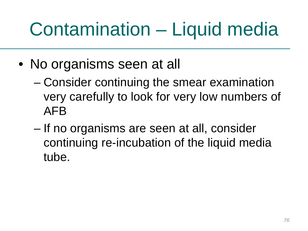- No organisms seen at all
	- Consider continuing the smear examination very carefully to look for very low numbers of AFB
	- If no organisms are seen at all, consider continuing re-incubation of the liquid media tube.